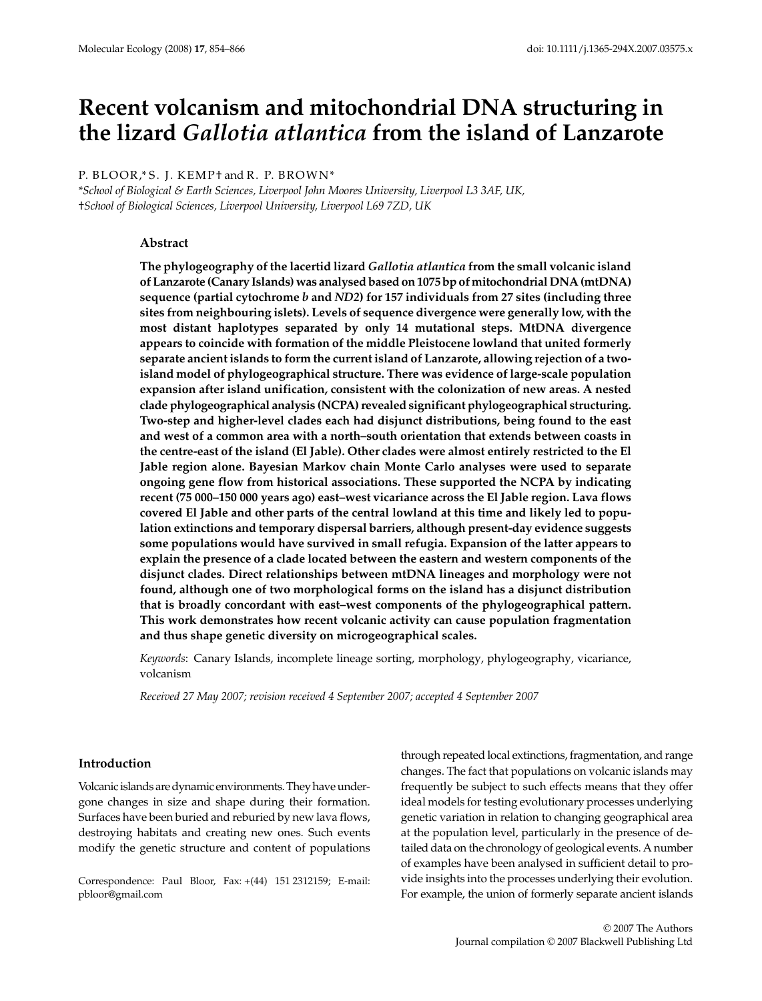# Recent volcanism and mitochondrial DNA structuring in **the lizard** *Gallotia atlantica* **from the island of Lanzarote**

P. BLOOR,\* S. J. KEMP† and R. P. BROWN\*

\**School of Biological & Earth Sciences, Liverpool John Moores University, Liverpool L3 3AF, UK,*  †*School of Biological Sciences, Liverpool University, Liverpool L69 7ZD, UK*

# **Abstract**

**The phylogeography of the lacertid lizard** *Gallotia atlantica* **from the small volcanic island of Lanzarote (Canary Islands) was analysed based on 1075 bp of mitochondrial DNA (mtDNA) sequence (partial cytochrome** *b* **and** *ND2***) for 157 individuals from 27 sites (including three sites from neighbouring islets). Levels of sequence divergence were generally low, with the most distant haplotypes separated by only 14 mutational steps. MtDNA divergence appears to coincide with formation of the middle Pleistocene lowland that united formerly separate ancient islands to form the current island of Lanzarote, allowing rejection of a twoisland model of phylogeographical structure. There was evidence of large-scale population expansion after island unification, consistent with the colonization of new areas. A nested clade phylogeographical analysis (NCPA) revealed significant phylogeographical structuring. Two-step and higher-level clades each had disjunct distributions, being found to the east and west of a common area with a north–south orientation that extends between coasts in the centre-east of the island (El Jable). Other clades were almost entirely restricted to the El Jable region alone. Bayesian Markov chain Monte Carlo analyses were used to separate ongoing gene flow from historical associations. These supported the NCPA by indicating recent (75 000–150 000 years ago) east–west vicariance across the El Jable region. Lava flows covered El Jable and other parts of the central lowland at this time and likely led to population extinctions and temporary dispersal barriers, although present-day evidence suggests some populations would have survived in small refugia. Expansion of the latter appears to explain the presence of a clade located between the eastern and western components of the disjunct clades. Direct relationships between mtDNA lineages and morphology were not found, although one of two morphological forms on the island has a disjunct distribution that is broadly concordant with east–west components of the phylogeographical pattern. This work demonstrates how recent volcanic activity can cause population fragmentation and thus shape genetic diversity on microgeographical scales.**

*Keywords*: Canary Islands, incomplete lineage sorting, morphology, phylogeography, vicariance, volcanism

*Received 27 May 2007; revision received 4 September 2007; accepted 4 September 2007*

### **Introduction**

Volcanic islands are dynamic environments. They have undergone changes in size and shape during their formation. Surfaces have been buried and reburied by new lava flows, destroying habitats and creating new ones. Such events modify the genetic structure and content of populations

Correspondence: Paul Bloor, Fax: +(44) 151 2312159; E-mail: pbloor@gmail.com

through repeated local extinctions, fragmentation, and range changes. The fact that populations on volcanic islands may frequently be subject to such effects means that they offer ideal models for testing evolutionary processes underlying genetic variation in relation to changing geographical area at the population level, particularly in the presence of detailed data on the chronology of geological events. A number of examples have been analysed in sufficient detail to provide insights into the processes underlying their evolution. For example, the union of formerly separate ancient islands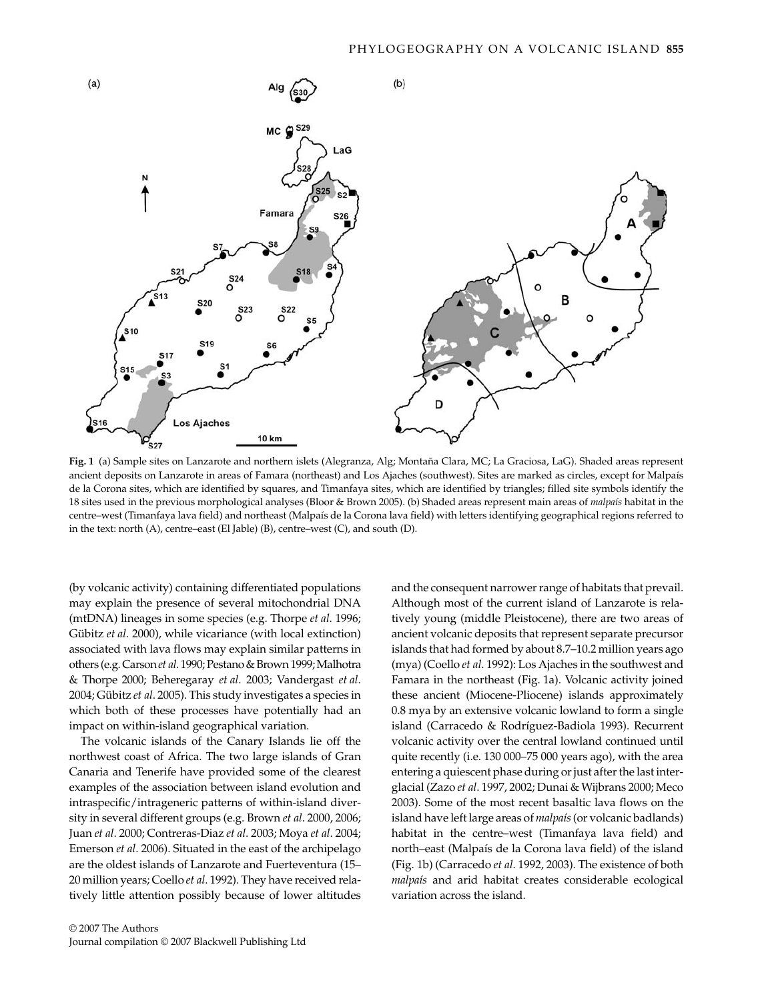

**Fig. 1** (a) Sample sites on Lanzarote and northern islets (Alegranza, Alg; Montaña Clara, MC; La Graciosa, LaG). Shaded areas represent ancient deposits on Lanzarote in areas of Famara (northeast) and Los Ajaches (southwest). Sites are marked as circles, except for Malpaís de la Corona sites, which are identified by squares, and Timanfaya sites, which are identified by triangles; filled site symbols identify the 18 sites used in the previous morphological analyses (Bloor & Brown 2005). (b) Shaded areas represent main areas of *malpaís* habitat in the centre–west (Timanfaya lava field) and northeast (Malpaís de la Corona lava field) with letters identifying geographical regions referred to in the text: north (A), centre–east (El Jable) (B), centre–west (C), and south (D).

(by volcanic activity) containing differentiated populations may explain the presence of several mitochondrial DNA (mtDNA) lineages in some species (e.g. Thorpe *et al*. 1996; Gübitz *et al*. 2000), while vicariance (with local extinction) associated with lava flows may explain similar patterns in others (e.g. Carson *et al*. 1990; Pestano & Brown 1999; Malhotra & Thorpe 2000; Beheregaray *et al*. 2003; Vandergast *et al*. 2004; Gübitz *et al*. 2005). This study investigates a species in which both of these processes have potentially had an impact on within-island geographical variation.

The volcanic islands of the Canary Islands lie off the northwest coast of Africa. The two large islands of Gran Canaria and Tenerife have provided some of the clearest examples of the association between island evolution and intraspecific/intrageneric patterns of within-island diversity in several different groups (e.g. Brown *et al*. 2000, 2006; Juan *et al*. 2000; Contreras-Diaz *et al*. 2003; Moya *et al*. 2004; Emerson *et al*. 2006). Situated in the east of the archipelago are the oldest islands of Lanzarote and Fuerteventura (15– 20 million years; Coello *et al*. 1992). They have received relatively little attention possibly because of lower altitudes

and the consequent narrower range of habitats that prevail. Although most of the current island of Lanzarote is relatively young (middle Pleistocene), there are two areas of ancient volcanic deposits that represent separate precursor islands that had formed by about 8.7–10.2 million years ago (mya) (Coello *et al*. 1992): Los Ajaches in the southwest and Famara in the northeast (Fig. 1a). Volcanic activity joined these ancient (Miocene-Pliocene) islands approximately 0.8 mya by an extensive volcanic lowland to form a single island (Carracedo & Rodríguez-Badiola 1993). Recurrent volcanic activity over the central lowland continued until quite recently (i.e. 130 000–75 000 years ago), with the area entering a quiescent phase during or just after the last interglacial (Zazo *et al*. 1997, 2002; Dunai & Wijbrans 2000; Meco 2003). Some of the most recent basaltic lava flows on the island have left large areas of *malpaís* (or volcanic badlands) habitat in the centre–west (Timanfaya lava field) and north–east (Malpaís de la Corona lava field) of the island (Fig. 1b) (Carracedo *et al*. 1992, 2003). The existence of both *malpaís* and arid habitat creates considerable ecological variation across the island.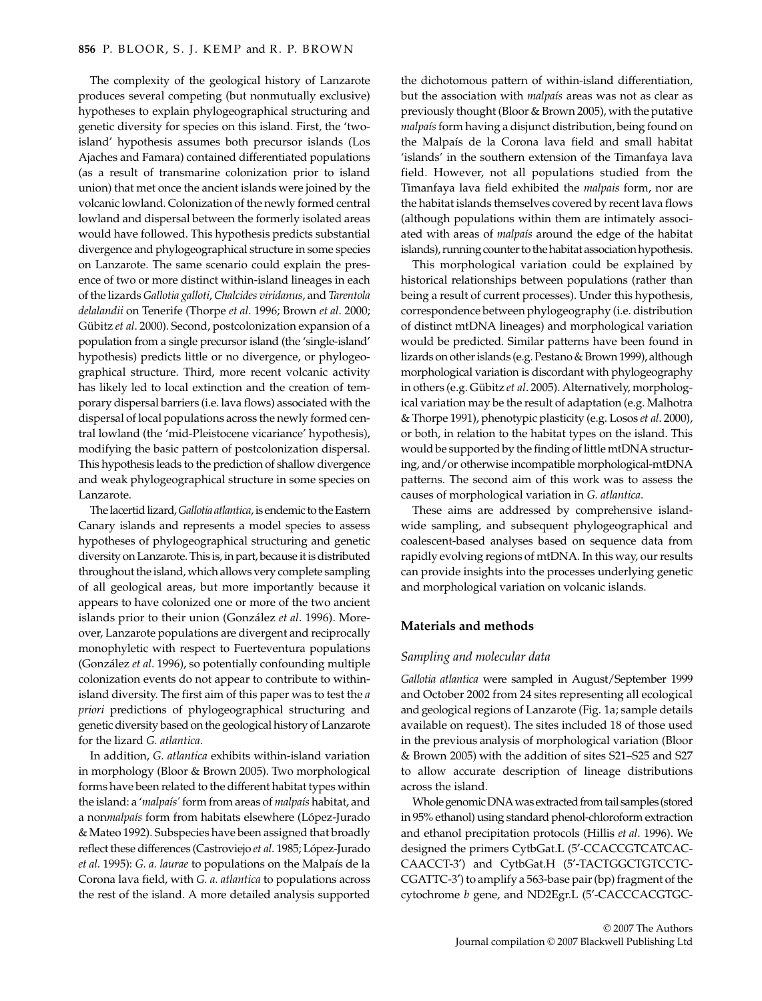The complexity of the geological history of Lanzarote produces several competing (but nonmutually exclusive) hypotheses to explain phylogeographical structuring and genetic diversity for species on this island. First, the 'twoisland' hypothesis assumes both precursor islands (Los Ajaches and Famara) contained differentiated populations (as a result of transmarine colonization prior to island union) that met once the ancient islands were joined by the volcanic lowland. Colonization of the newly formed central lowland and dispersal between the formerly isolated areas would have followed. This hypothesis predicts substantial divergence and phylogeographical structure in some species on Lanzarote. The same scenario could explain the presence of two or more distinct within-island lineages in each of the lizards *Gallotia galloti*, *Chalcides viridanus*, and *Tarentola delalandii* on Tenerife (Thorpe *et al*. 1996; Brown *et al*. 2000; Gübitz *et al*. 2000). Second, postcolonization expansion of a population from a single precursor island (the 'single-island' hypothesis) predicts little or no divergence, or phylogeographical structure. Third, more recent volcanic activity has likely led to local extinction and the creation of temporary dispersal barriers (i.e. lava flows) associated with the dispersal of local populations across the newly formed central lowland (the 'mid-Pleistocene vicariance' hypothesis), modifying the basic pattern of postcolonization dispersal. This hypothesis leads to the prediction of shallow divergence and weak phylogeographical structure in some species on Lanzarote.

The lacertid lizard, *Gallotia atlantica*, is endemic to the Eastern Canary islands and represents a model species to assess hypotheses of phylogeographical structuring and genetic diversity on Lanzarote. This is, in part, because it is distributed throughout the island, which allows very complete sampling of all geological areas, but more importantly because it appears to have colonized one or more of the two ancient islands prior to their union (González *et al*. 1996). Moreover, Lanzarote populations are divergent and reciprocally monophyletic with respect to Fuerteventura populations (González *et al*. 1996), so potentially confounding multiple colonization events do not appear to contribute to withinisland diversity. The first aim of this paper was to test the *a priori* predictions of phylogeographical structuring and genetic diversity based on the geological history of Lanzarote for the lizard *G. atlantica*.

In addition, *G. atlantica* exhibits within-island variation in morphology (Bloor & Brown 2005). Two morphological forms have been related to the different habitat types within the island: a '*malpaís'* form from areas of *malpaís* habitat, and a non*malpaís* form from habitats elsewhere (López-Jurado & Mateo 1992). Subspecies have been assigned that broadly reflect these differences (Castroviejo *et al*. 1985; López-Jurado *et al*. 1995): *G. a. laurae* to populations on the Malpaís de la Corona lava field, with *G. a. atlantica* to populations across the rest of the island. A more detailed analysis supported

the dichotomous pattern of within-island differentiation, but the association with *malpaís* areas was not as clear as previously thought (Bloor & Brown 2005), with the putative *malpaís* form having a disjunct distribution, being found on the Malpaís de la Corona lava field and small habitat 'islands' in the southern extension of the Timanfaya lava field. However, not all populations studied from the Timanfaya lava field exhibited the *malpais* form, nor are the habitat islands themselves covered by recent lava flows (although populations within them are intimately associated with areas of *malpaís* around the edge of the habitat islands), running counter to the habitat association hypothesis.

This morphological variation could be explained by historical relationships between populations (rather than being a result of current processes). Under this hypothesis, correspondence between phylogeography (i.e. distribution of distinct mtDNA lineages) and morphological variation would be predicted. Similar patterns have been found in lizards on other islands (e.g. Pestano & Brown 1999), although morphological variation is discordant with phylogeography in others (e.g. Gübitz *et al*. 2005). Alternatively, morphological variation may be the result of adaptation (e.g. Malhotra & Thorpe 1991), phenotypic plasticity (e.g. Losos *et al*. 2000), or both, in relation to the habitat types on the island. This would be supported by the finding of little mtDNA structuring, and/or otherwise incompatible morphological-mtDNA patterns. The second aim of this work was to assess the causes of morphological variation in *G. atlantica*.

These aims are addressed by comprehensive islandwide sampling, and subsequent phylogeographical and coalescent-based analyses based on sequence data from rapidly evolving regions of mtDNA. In this way, our results can provide insights into the processes underlying genetic and morphological variation on volcanic islands.

#### **Materials and methods**

#### *Sampling and molecular data*

*Gallotia atlantica* were sampled in August/September 1999 and October 2002 from 24 sites representing all ecological and geological regions of Lanzarote (Fig. 1a; sample details available on request). The sites included 18 of those used in the previous analysis of morphological variation (Bloor & Brown 2005) with the addition of sites S21–S25 and S27 to allow accurate description of lineage distributions across the island.

Whole genomic DNA was extracted from tail samples (stored in 95% ethanol) using standard phenol-chloroform extraction and ethanol precipitation protocols (Hillis *et al*. 1996). We designed the primers CytbGat.L (5′-CCACCGTCATCAC-CAACCT-3′) and CytbGat.H (5′-TACTGGCTGTCCTC-CGATTC-3′) to amplify a 563-base pair (bp) fragment of the cytochrome *b* gene, and ND2Egr.L (5′-CACCCACGTGC-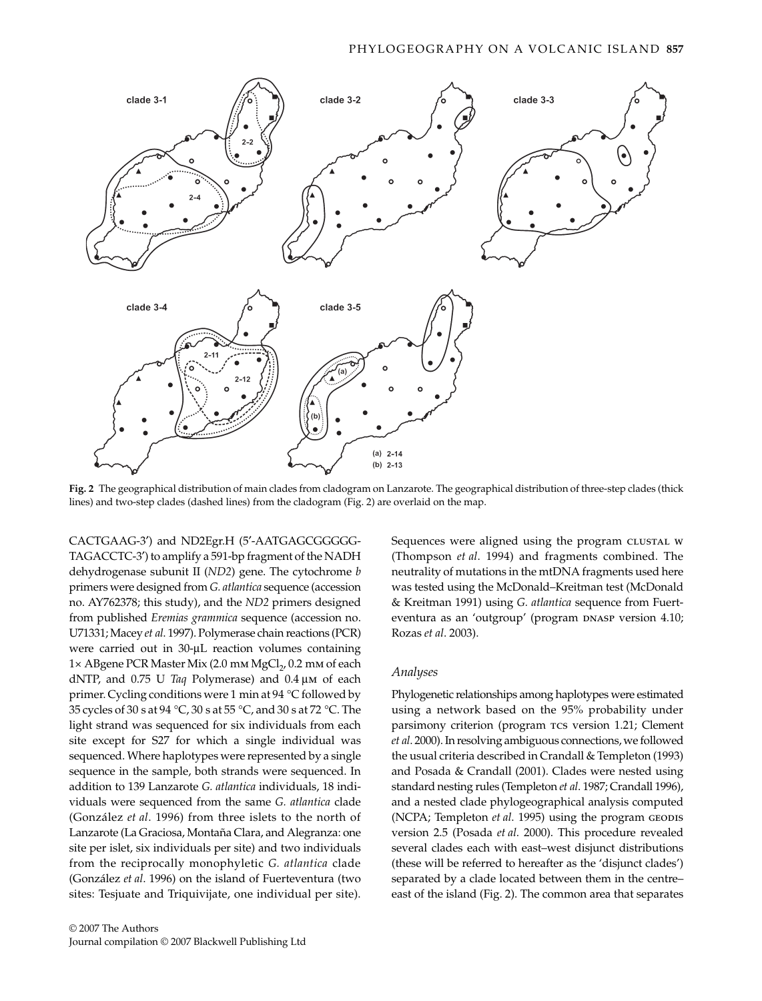

**Fig. 2** The geographical distribution of main clades from cladogram on Lanzarote. The geographical distribution of three-step clades (thick lines) and two-step clades (dashed lines) from the cladogram (Fig. 2) are overlaid on the map.

CACTGAAG-3′) and ND2Egr.H (5′-AATGAGCGGGGG-TAGACCTC-3′) to amplify a 591-bp fragment of the NADH dehydrogenase subunit II (*ND2*) gene. The cytochrome *b* primers were designed from *G. atlantica* sequence (accession no. AY762378; this study), and the *ND2* primers designed from published *Eremias grammica* sequence (accession no. U71331; Macey *et al*. 1997). Polymerase chain reactions (PCR) were carried out in 30-μL reaction volumes containing 1× ABgene PCR Master Mix (2.0 mm MgCl<sub>2</sub>, 0.2 mm of each dNTP, and 0.75 U *Taq* Polymerase) and 0.4 μm of each primer. Cycling conditions were 1 min at 94 °C followed by 35 cycles of 30 s at 94 °C, 30 s at 55 °C, and 30 s at 72 °C. The light strand was sequenced for six individuals from each site except for S27 for which a single individual was sequenced. Where haplotypes were represented by a single sequence in the sample, both strands were sequenced. In addition to 139 Lanzarote *G. atlantica* individuals, 18 individuals were sequenced from the same *G. atlantica* clade (González *et al*. 1996) from three islets to the north of Lanzarote (La Graciosa, Montaña Clara, and Alegranza: one site per islet, six individuals per site) and two individuals from the reciprocally monophyletic *G. atlantica* clade (González *et al*. 1996) on the island of Fuerteventura (two sites: Tesjuate and Triquivijate, one individual per site).

Sequences were aligned using the program CLUSTAL W (Thompson *et al*. 1994) and fragments combined. The neutrality of mutations in the mtDNA fragments used here was tested using the McDonald–Kreitman test (McDonald & Kreitman 1991) using *G. atlantica* sequence from Fuerteventura as an 'outgroup' (program DNASP version 4.10; Rozas *et al*. 2003).

### *Analyses*

Phylogenetic relationships among haplotypes were estimated using a network based on the 95% probability under parsimony criterion (program rcs version 1.21; Clement *et al*. 2000). In resolving ambiguous connections, we followed the usual criteria described in Crandall & Templeton (1993) and Posada & Crandall (2001). Clades were nested using standard nesting rules (Templeton *et al*. 1987; Crandall 1996), and a nested clade phylogeographical analysis computed (NCPA; Templeton *et al.* 1995) using the program GEODIS version 2.5 (Posada *et al*. 2000). This procedure revealed several clades each with east–west disjunct distributions (these will be referred to hereafter as the 'disjunct clades') separated by a clade located between them in the centre– east of the island (Fig. 2). The common area that separates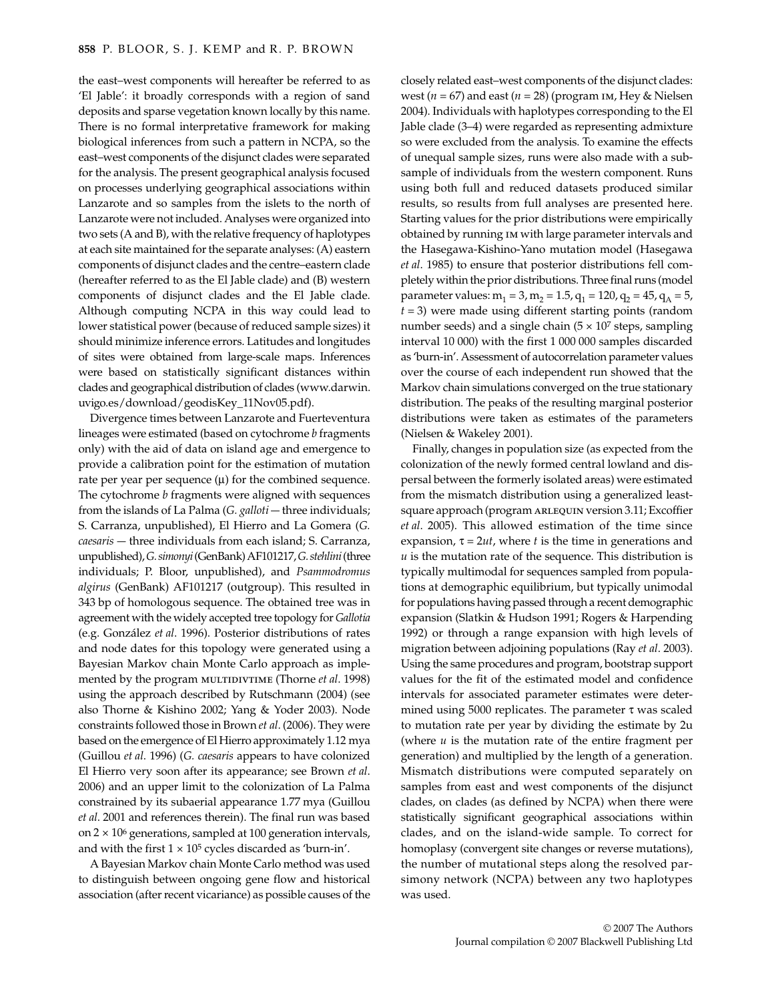the east–west components will hereafter be referred to as 'El Jable': it broadly corresponds with a region of sand deposits and sparse vegetation known locally by this name. There is no formal interpretative framework for making biological inferences from such a pattern in NCPA, so the east–west components of the disjunct clades were separated for the analysis. The present geographical analysis focused on processes underlying geographical associations within Lanzarote and so samples from the islets to the north of Lanzarote were not included. Analyses were organized into two sets (A and B), with the relative frequency of haplotypes at each site maintained for the separate analyses: (A) eastern components of disjunct clades and the centre–eastern clade (hereafter referred to as the El Jable clade) and (B) western components of disjunct clades and the El Jable clade. Although computing NCPA in this way could lead to lower statistical power (because of reduced sample sizes) it should minimize inference errors. Latitudes and longitudes of sites were obtained from large-scale maps. Inferences were based on statistically significant distances within [clades and geographical distribution of clades \(www.darwin.](www.darwin.uvigo.es/download/geodisKey_11Nov05.pdf) uvigo.es/download/geodisKey\_11Nov05.pdf).

Divergence times between Lanzarote and Fuerteventura lineages were estimated (based on cytochrome *b* fragments only) with the aid of data on island age and emergence to provide a calibration point for the estimation of mutation rate per year per sequence (μ) for the combined sequence. The cytochrome *b* fragments were aligned with sequences from the islands of La Palma (*G. galloti* — three individuals; S. Carranza, unpublished), El Hierro and La Gomera (*G. caesaris* — three individuals from each island; S. Carranza, unpublished), *G. simonyi* (GenBank) AF101217, *G. stehlini* (three individuals; P. Bloor, unpublished), and *Psammodromus algirus* (GenBank) AF101217 (outgroup). This resulted in 343 bp of homologous sequence. The obtained tree was in agreement with the widely accepted tree topology for *Gallotia* (e.g. González *et al*. 1996). Posterior distributions of rates and node dates for this topology were generated using a Bayesian Markov chain Monte Carlo approach as implemented by the program MULTIDIVTIME (Thorne *et al.* 1998) using the approach described by Rutschmann (2004) (see also Thorne & Kishino 2002; Yang & Yoder 2003). Node constraints followed those in Brown *et al*. (2006). They were based on the emergence of El Hierro approximately 1.12 mya (Guillou *et al*. 1996) (*G. caesaris* appears to have colonized El Hierro very soon after its appearance; see Brown *et al*. 2006) and an upper limit to the colonization of La Palma constrained by its subaerial appearance 1.77 mya (Guillou *et al*. 2001 and references therein). The final run was based on  $2 \times 10^6$  generations, sampled at 100 generation intervals, and with the first  $1 \times 10^5$  cycles discarded as 'burn-in'.

A Bayesian Markov chain Monte Carlo method was used to distinguish between ongoing gene flow and historical association (after recent vicariance) as possible causes of the closely related east–west components of the disjunct clades: west ( $n = 67$ ) and east ( $n = 28$ ) (program IM, Hey & Nielsen 2004). Individuals with haplotypes corresponding to the El Jable clade (3–4) were regarded as representing admixture so were excluded from the analysis. To examine the effects of unequal sample sizes, runs were also made with a subsample of individuals from the western component. Runs using both full and reduced datasets produced similar results, so results from full analyses are presented here. Starting values for the prior distributions were empirically obtained by running im with large parameter intervals and the Hasegawa-Kishino-Yano mutation model (Hasegawa *et al*. 1985) to ensure that posterior distributions fell completely within the prior distributions. Three final runs (model parameter values:  $m_1 = 3$ ,  $m_2 = 1.5$ ,  $q_1 = 120$ ,  $q_2 = 45$ ,  $q_A = 5$ , *t* = 3) were made using different starting points (random number seeds) and a single chain  $(5 \times 10^7$  steps, sampling interval 10 000) with the first 1 000 000 samples discarded as 'burn-in'. Assessment of autocorrelation parameter values over the course of each independent run showed that the Markov chain simulations converged on the true stationary distribution. The peaks of the resulting marginal posterior distributions were taken as estimates of the parameters (Nielsen & Wakeley 2001).

Finally, changes in population size (as expected from the colonization of the newly formed central lowland and dispersal between the formerly isolated areas) were estimated from the mismatch distribution using a generalized leastsquare approach (program ARLEQUIN version 3.11; Excoffier *et al*. 2005). This allowed estimation of the time since expansion,  $\tau = 2ut$ , where *t* is the time in generations and *u* is the mutation rate of the sequence. This distribution is typically multimodal for sequences sampled from populations at demographic equilibrium, but typically unimodal for populations having passed through a recent demographic expansion (Slatkin & Hudson 1991; Rogers & Harpending 1992) or through a range expansion with high levels of migration between adjoining populations (Ray *et al*. 2003). Using the same procedures and program, bootstrap support values for the fit of the estimated model and confidence intervals for associated parameter estimates were determined using 5000 replicates. The parameter  $\tau$  was scaled to mutation rate per year by dividing the estimate by 2u (where *u* is the mutation rate of the entire fragment per generation) and multiplied by the length of a generation. Mismatch distributions were computed separately on samples from east and west components of the disjunct clades, on clades (as defined by NCPA) when there were statistically significant geographical associations within clades, and on the island-wide sample. To correct for homoplasy (convergent site changes or reverse mutations), the number of mutational steps along the resolved parsimony network (NCPA) between any two haplotypes was used.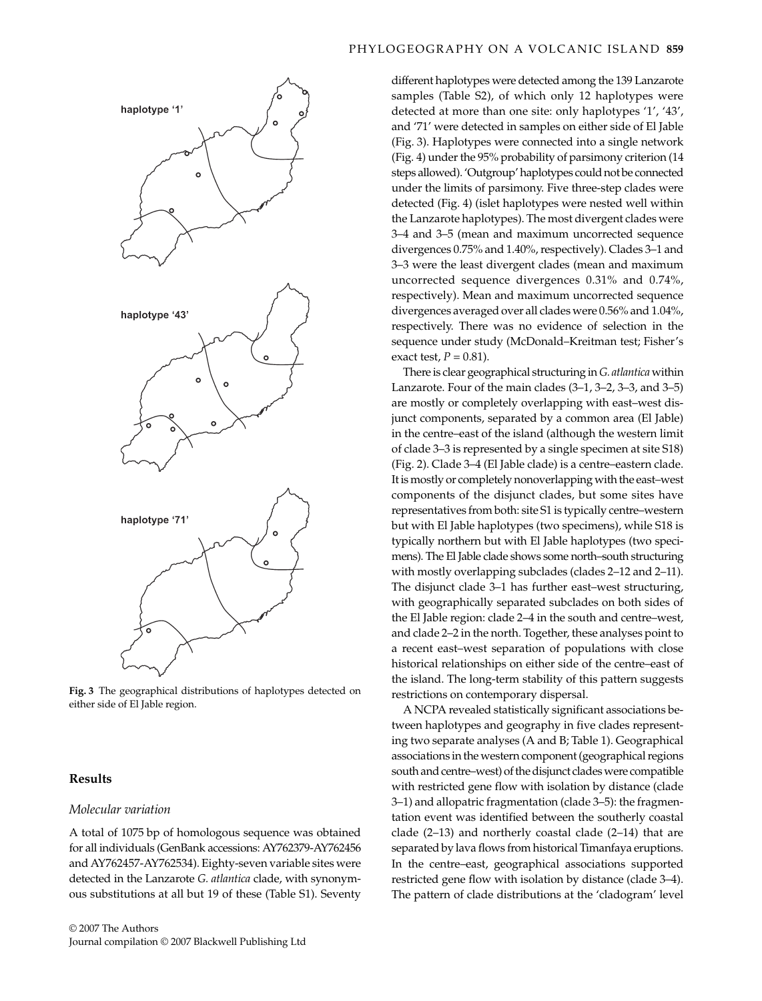

**Fig. 3** The geographical distributions of haplotypes detected on either side of El Jable region.

# **Results**

# *Molecular variation*

A total of 1075 bp of homologous sequence was obtained for all individuals (GenBank accessions: AY762379-AY762456 and AY762457-AY762534). Eighty-seven variable sites were detected in the Lanzarote *G. atlantica* clade, with synonymous substitutions at all but 19 of these (Table S1). Seventy

different haplotypes were detected among the 139 Lanzarote samples (Table S2), of which only 12 haplotypes were detected at more than one site: only haplotypes '1', '43', and '71' were detected in samples on either side of El Jable (Fig. 3). Haplotypes were connected into a single network (Fig. 4) under the 95% probability of parsimony criterion (14 steps allowed). 'Outgroup' haplotypes could not be connected under the limits of parsimony. Five three-step clades were detected (Fig. 4) (islet haplotypes were nested well within the Lanzarote haplotypes). The most divergent clades were 3–4 and 3–5 (mean and maximum uncorrected sequence divergences 0.75% and 1.40%, respectively). Clades 3–1 and 3–3 were the least divergent clades (mean and maximum uncorrected sequence divergences 0.31% and 0.74%, respectively). Mean and maximum uncorrected sequence divergences averaged over all clades were 0.56% and 1.04%, respectively. There was no evidence of selection in the sequence under study (McDonald–Kreitman test; Fisher's exact test,  $P = 0.81$ ).

There is clear geographical structuring in *G. atlantica* within Lanzarote. Four of the main clades (3–1, 3–2, 3–3, and 3–5) are mostly or completely overlapping with east–west disjunct components, separated by a common area (El Jable) in the centre–east of the island (although the western limit of clade 3–3 is represented by a single specimen at site S18) (Fig. 2). Clade 3–4 (El Jable clade) is a centre–eastern clade. It is mostly or completely nonoverlapping with the east–west components of the disjunct clades, but some sites have representatives from both: site S1 is typically centre–western but with El Jable haplotypes (two specimens), while S18 is typically northern but with El Jable haplotypes (two specimens). The El Jable clade shows some north–south structuring with mostly overlapping subclades (clades 2–12 and 2–11). The disjunct clade 3–1 has further east–west structuring, with geographically separated subclades on both sides of the El Jable region: clade 2–4 in the south and centre–west, and clade 2–2 in the north. Together, these analyses point to a recent east–west separation of populations with close historical relationships on either side of the centre–east of the island. The long-term stability of this pattern suggests restrictions on contemporary dispersal.

A NCPA revealed statistically significant associations between haplotypes and geography in five clades representing two separate analyses (A and B; Table 1). Geographical associations in the western component (geographical regions south and centre–west) of the disjunct clades were compatible with restricted gene flow with isolation by distance (clade 3–1) and allopatric fragmentation (clade 3–5): the fragmentation event was identified between the southerly coastal clade (2–13) and northerly coastal clade (2–14) that are separated by lava flows from historical Timanfaya eruptions. In the centre–east, geographical associations supported restricted gene flow with isolation by distance (clade 3–4). The pattern of clade distributions at the 'cladogram' level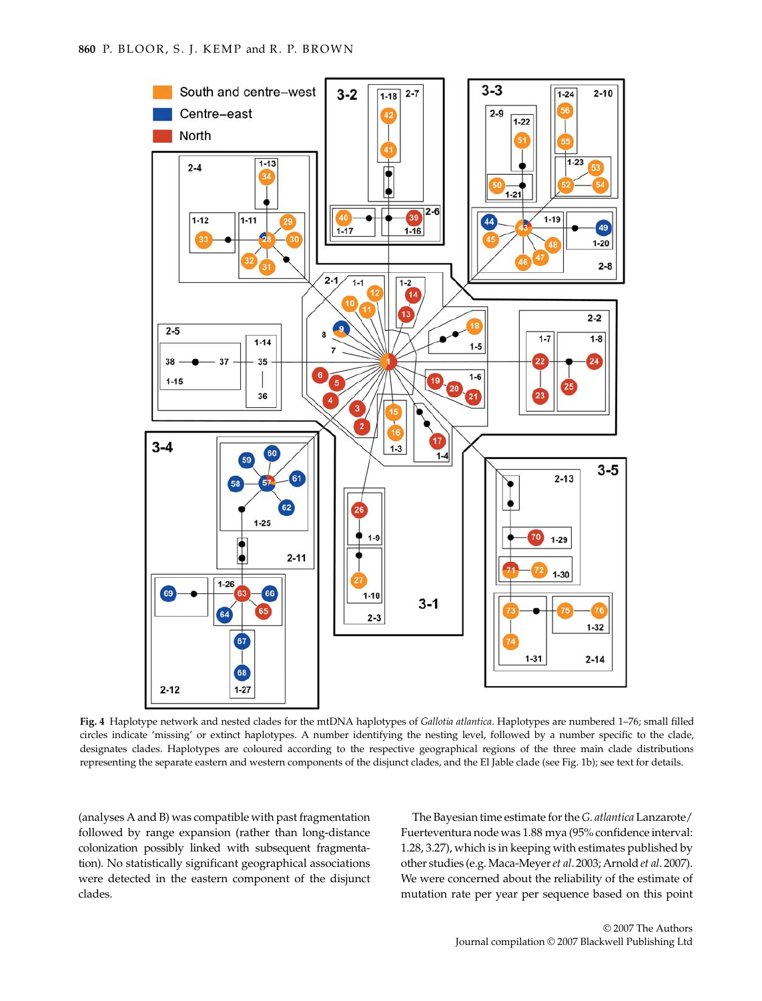

**Fig. 4** Haplotype network and nested clades for the mtDNA haplotypes of *Gallotia atlantica*. Haplotypes are numbered 1–76; small filled circles indicate 'missing' or extinct haplotypes. A number identifying the nesting level, followed by a number specific to the clade, designates clades. Haplotypes are coloured according to the respective geographical regions of the three main clade distributions representing the separate eastern and western components of the disjunct clades, and the El Jable clade (see Fig. 1b); see text for details.

(analyses A and B) was compatible with past fragmentation followed by range expansion (rather than long-distance colonization possibly linked with subsequent fragmentation). No statistically significant geographical associations were detected in the eastern component of the disjunct clades.

The Bayesian time estimate for the *G. atlantica* Lanzarote/ Fuerteventura node was 1.88 mya (95% confidence interval: 1.28, 3.27), which is in keeping with estimates published by other studies (e.g. Maca-Meyer *et al*. 2003; Arnold *et al*. 2007). We were concerned about the reliability of the estimate of mutation rate per year per sequence based on this point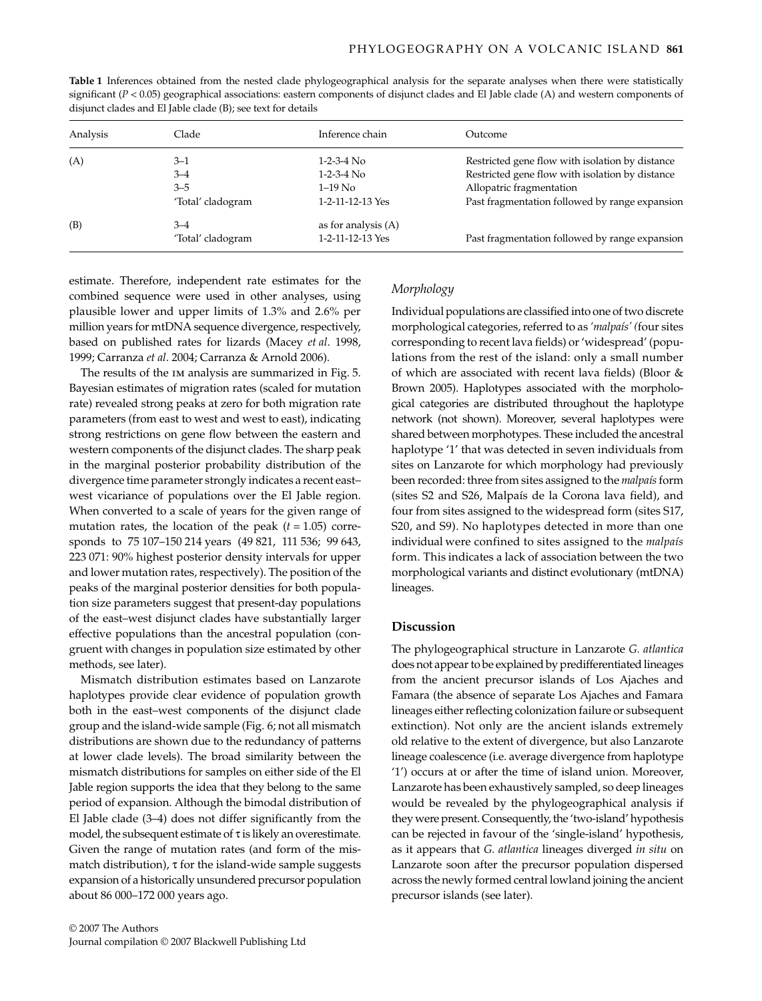| assured clauses and Li fabic claud (D), see text for details |                   |                       |                                                 |
|--------------------------------------------------------------|-------------------|-----------------------|-------------------------------------------------|
| Analysis                                                     | Clade             | Inference chain       | Outcome                                         |
| (A)                                                          | $3 - 1$           | 1-2-3-4 No            | Restricted gene flow with isolation by distance |
|                                                              | $3 - 4$           | $1-2-3-4$ No          | Restricted gene flow with isolation by distance |
|                                                              | $3 - 5$           | $1-19$ No.            | Allopatric fragmentation                        |
|                                                              | 'Total' cladogram | 1-2-11-12-13 Yes      | Past fragmentation followed by range expansion  |
| (B)                                                          | $3 - 4$           | as for analysis $(A)$ |                                                 |
|                                                              | 'Total' cladogram | 1-2-11-12-13 Yes      | Past fragmentation followed by range expansion  |
|                                                              |                   |                       |                                                 |

**Table 1** Inferences obtained from the nested clade phylogeographical analysis for the separate analyses when there were statistically significant (*P <* 0.05) geographical associations: eastern components of disjunct clades and El Jable clade (A) and western components of disjunct clades and El Jable clade (B); see text for details

estimate. Therefore, independent rate estimates for the combined sequence were used in other analyses, using plausible lower and upper limits of 1.3% and 2.6% per million years for mtDNA sequence divergence, respectively, based on published rates for lizards (Macey *et al*. 1998, 1999; Carranza *et al*. 2004; Carranza & Arnold 2006).

The results of the im analysis are summarized in Fig. 5. Bayesian estimates of migration rates (scaled for mutation rate) revealed strong peaks at zero for both migration rate parameters (from east to west and west to east), indicating strong restrictions on gene flow between the eastern and western components of the disjunct clades. The sharp peak in the marginal posterior probability distribution of the divergence time parameter strongly indicates a recent east– west vicariance of populations over the El Jable region. When converted to a scale of years for the given range of mutation rates, the location of the peak (*t* = 1.05) corresponds to 75 107–150 214 years (49 821, 111 536; 99 643, 223 071: 90% highest posterior density intervals for upper and lower mutation rates, respectively). The position of the peaks of the marginal posterior densities for both population size parameters suggest that present-day populations of the east–west disjunct clades have substantially larger effective populations than the ancestral population (congruent with changes in population size estimated by other methods, see later).

Mismatch distribution estimates based on Lanzarote haplotypes provide clear evidence of population growth both in the east–west components of the disjunct clade group and the island-wide sample (Fig. 6; not all mismatch distributions are shown due to the redundancy of patterns at lower clade levels). The broad similarity between the mismatch distributions for samples on either side of the El Jable region supports the idea that they belong to the same period of expansion. Although the bimodal distribution of El Jable clade (3–4) does not differ significantly from the model, the subsequent estimate of τ is likely an overestimate. Given the range of mutation rates (and form of the mismatch distribution),  $\tau$  for the island-wide sample suggests expansion of a historically unsundered precursor population about 86 000–172 000 years ago.

# *Morphology*

Individual populations are classified into one of two discrete morphological categories, referred to as *'malpaís' (*four sites corresponding to recent lava fields) or 'widespread' (populations from the rest of the island: only a small number of which are associated with recent lava fields) (Bloor & Brown 2005). Haplotypes associated with the morphological categories are distributed throughout the haplotype network (not shown). Moreover, several haplotypes were shared between morphotypes. These included the ancestral haplotype '1' that was detected in seven individuals from sites on Lanzarote for which morphology had previously been recorded: three from sites assigned to the *malpaís* form (sites S2 and S26, Malpaís de la Corona lava field), and four from sites assigned to the widespread form (sites S17, S20, and S9). No haplotypes detected in more than one individual were confined to sites assigned to the *malpaís* form. This indicates a lack of association between the two morphological variants and distinct evolutionary (mtDNA) lineages.

#### **Discussion**

The phylogeographical structure in Lanzarote *G. atlantica* does not appear to be explained by predifferentiated lineages from the ancient precursor islands of Los Ajaches and Famara (the absence of separate Los Ajaches and Famara lineages either reflecting colonization failure or subsequent extinction). Not only are the ancient islands extremely old relative to the extent of divergence, but also Lanzarote lineage coalescence (i.e. average divergence from haplotype '1') occurs at or after the time of island union. Moreover, Lanzarote has been exhaustively sampled, so deep lineages would be revealed by the phylogeographical analysis if they were present. Consequently, the 'two-island' hypothesis can be rejected in favour of the 'single-island' hypothesis, as it appears that *G. atlantica* lineages diverged *in situ* on Lanzarote soon after the precursor population dispersed across the newly formed central lowland joining the ancient precursor islands (see later).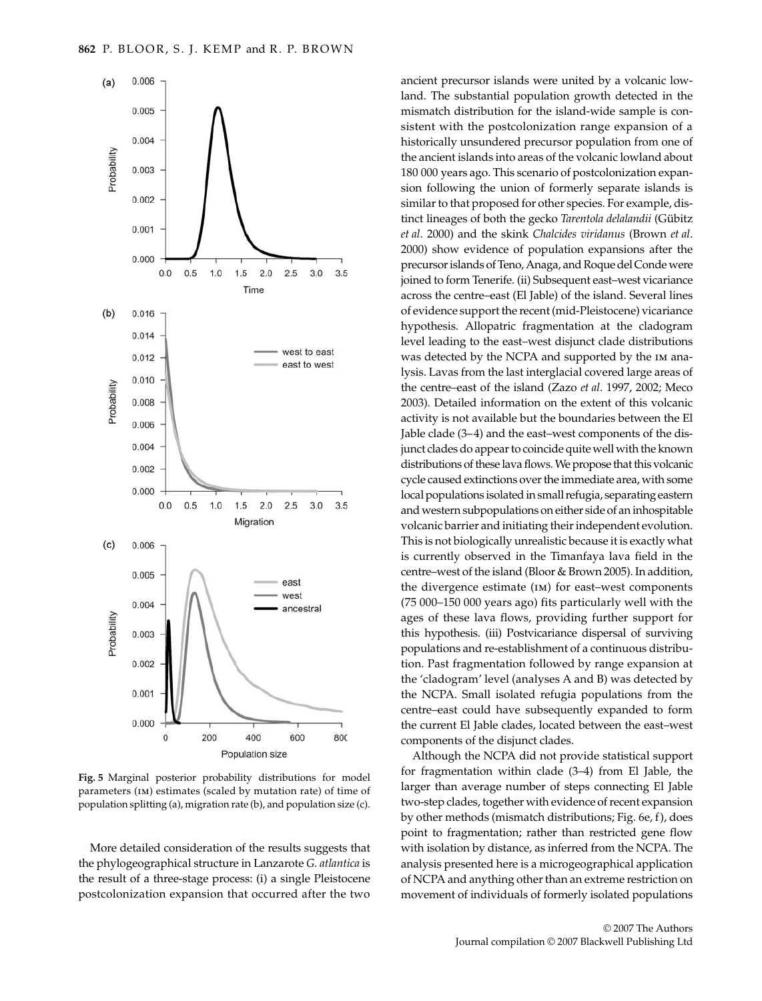

**Fig. 5** Marginal posterior probability distributions for model parameters (im) estimates (scaled by mutation rate) of time of population splitting (a), migration rate (b), and population size (c).

More detailed consideration of the results suggests that the phylogeographical structure in Lanzarote *G. atlantica* is the result of a three-stage process: (i) a single Pleistocene postcolonization expansion that occurred after the two

ancient precursor islands were united by a volcanic lowland. The substantial population growth detected in the mismatch distribution for the island-wide sample is consistent with the postcolonization range expansion of a historically unsundered precursor population from one of the ancient islands into areas of the volcanic lowland about 180 000 years ago. This scenario of postcolonization expansion following the union of formerly separate islands is similar to that proposed for other species. For example, distinct lineages of both the gecko *Tarentola delalandii* (Gübitz *et al*. 2000) and the skink *Chalcides viridanus* (Brown *et al*. 2000) show evidence of population expansions after the precursor islands of Teno, Anaga, and Roque del Conde were joined to form Tenerife. (ii) Subsequent east–west vicariance across the centre–east (El Jable) of the island. Several lines of evidence support the recent (mid-Pleistocene) vicariance hypothesis. Allopatric fragmentation at the cladogram level leading to the east–west disjunct clade distributions was detected by the NCPA and supported by the im analysis. Lavas from the last interglacial covered large areas of the centre–east of the island (Zazo *et al*. 1997, 2002; Meco 2003). Detailed information on the extent of this volcanic activity is not available but the boundaries between the El Jable clade (3–4) and the east–west components of the disjunct clades do appear to coincide quite well with the known distributions of these lava flows. We propose that this volcanic cycle caused extinctions over the immediate area, with some local populations isolated in small refugia, separating eastern and western subpopulations on either side of an inhospitable volcanic barrier and initiating their independent evolution. This is not biologically unrealistic because it is exactly what is currently observed in the Timanfaya lava field in the centre–west of the island (Bloor & Brown 2005). In addition, the divergence estimate (im) for east–west components (75 000–150 000 years ago) fits particularly well with the ages of these lava flows, providing further support for this hypothesis. (iii) Postvicariance dispersal of surviving populations and re-establishment of a continuous distribution. Past fragmentation followed by range expansion at the 'cladogram' level (analyses A and B) was detected by the NCPA. Small isolated refugia populations from the centre–east could have subsequently expanded to form the current El Jable clades, located between the east–west components of the disjunct clades.

Although the NCPA did not provide statistical support for fragmentation within clade (3–4) from El Jable, the larger than average number of steps connecting El Jable two-step clades, together with evidence of recent expansion by other methods (mismatch distributions; Fig. 6e, f), does point to fragmentation; rather than restricted gene flow with isolation by distance, as inferred from the NCPA. The analysis presented here is a microgeographical application of NCPA and anything other than an extreme restriction on movement of individuals of formerly isolated populations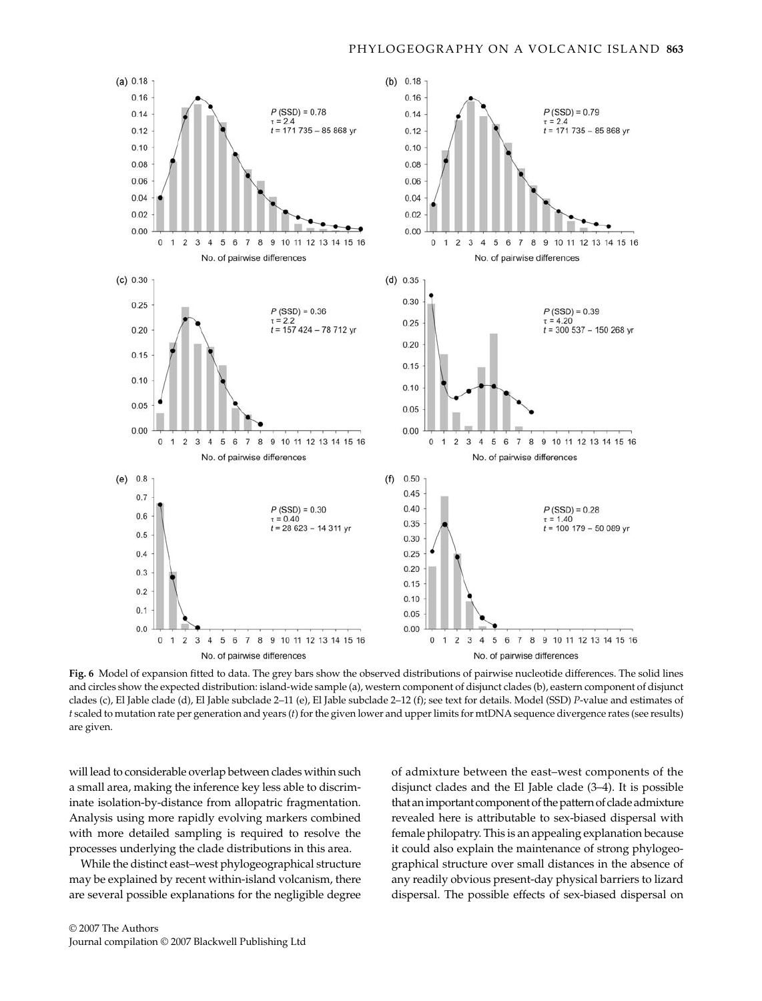

**Fig. 6** Model of expansion fitted to data. The grey bars show the observed distributions of pairwise nucleotide differences. The solid lines and circles show the expected distribution: island-wide sample (a), western component of disjunct clades (b), eastern component of disjunct clades (c), El Jable clade (d), El Jable subclade 2–11 (e), El Jable subclade 2–12 (f); see text for details. Model (SSD) *P*-value and estimates of *t* scaled to mutation rate per generation and years (*t*) for the given lower and upper limits for mtDNA sequence divergence rates (see results) are given.

will lead to considerable overlap between clades within such a small area, making the inference key less able to discriminate isolation-by-distance from allopatric fragmentation. Analysis using more rapidly evolving markers combined with more detailed sampling is required to resolve the processes underlying the clade distributions in this area.

While the distinct east–west phylogeographical structure may be explained by recent within-island volcanism, there are several possible explanations for the negligible degree of admixture between the east–west components of the disjunct clades and the El Jable clade (3–4). It is possible that an important component of the pattern of clade admixture revealed here is attributable to sex-biased dispersal with female philopatry. This is an appealing explanation because it could also explain the maintenance of strong phylogeographical structure over small distances in the absence of any readily obvious present-day physical barriers to lizard dispersal. The possible effects of sex-biased dispersal on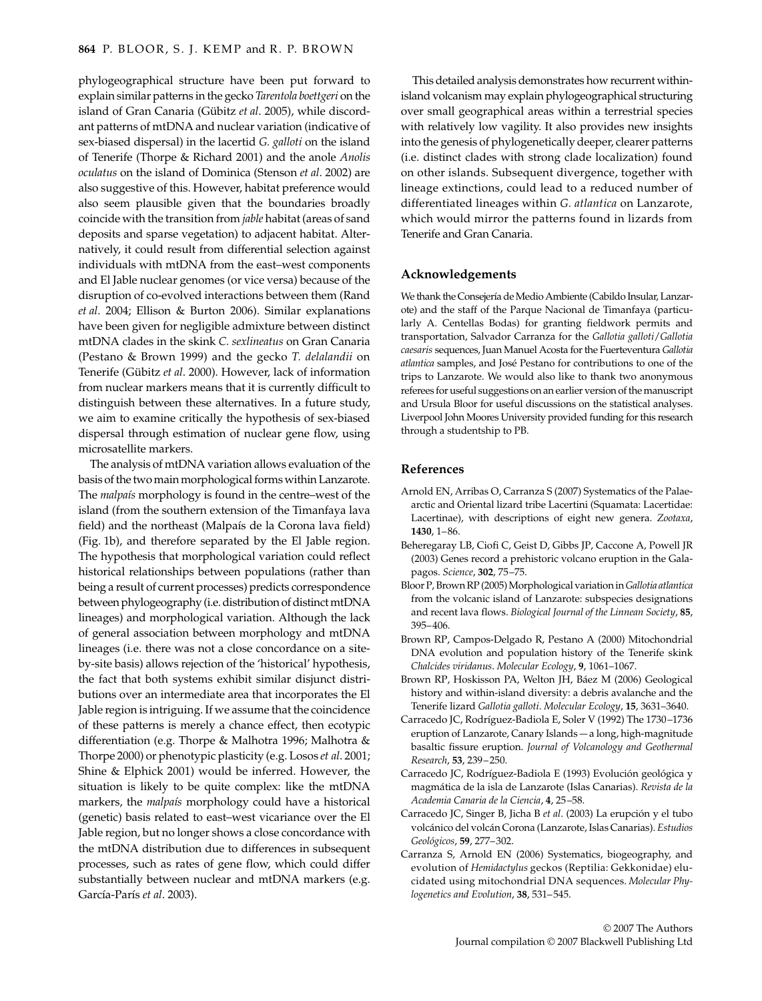phylogeographical structure have been put forward to explain similar patterns in the gecko *Tarentola boettgeri* on the island of Gran Canaria (Gübitz *et al*. 2005), while discordant patterns of mtDNA and nuclear variation (indicative of sex-biased dispersal) in the lacertid *G. galloti* on the island of Tenerife (Thorpe & Richard 2001) and the anole *Anolis oculatus* on the island of Dominica (Stenson *et al*. 2002) are also suggestive of this. However, habitat preference would also seem plausible given that the boundaries broadly coincide with the transition from *jable* habitat (areas of sand deposits and sparse vegetation) to adjacent habitat. Alternatively, it could result from differential selection against individuals with mtDNA from the east–west components and El Jable nuclear genomes (or vice versa) because of the disruption of co-evolved interactions between them (Rand *et al*. 2004; Ellison & Burton 2006). Similar explanations have been given for negligible admixture between distinct mtDNA clades in the skink *C. sexlineatus* on Gran Canaria (Pestano & Brown 1999) and the gecko *T. delalandii* on Tenerife (Gübitz *et al*. 2000). However, lack of information from nuclear markers means that it is currently difficult to distinguish between these alternatives. In a future study, we aim to examine critically the hypothesis of sex-biased dispersal through estimation of nuclear gene flow, using microsatellite markers.

The analysis of mtDNA variation allows evaluation of the basis of the two main morphological forms within Lanzarote. The *malpaís* morphology is found in the centre–west of the island (from the southern extension of the Timanfaya lava field) and the northeast (Malpaís de la Corona lava field) (Fig. 1b), and therefore separated by the El Jable region. The hypothesis that morphological variation could reflect historical relationships between populations (rather than being a result of current processes) predicts correspondence between phylogeography (i.e. distribution of distinct mtDNA lineages) and morphological variation. Although the lack of general association between morphology and mtDNA lineages (i.e. there was not a close concordance on a siteby-site basis) allows rejection of the 'historical' hypothesis, the fact that both systems exhibit similar disjunct distributions over an intermediate area that incorporates the El Jable region is intriguing. If we assume that the coincidence of these patterns is merely a chance effect, then ecotypic differentiation (e.g. Thorpe & Malhotra 1996; Malhotra & Thorpe 2000) or phenotypic plasticity (e.g. Losos *et al*. 2001; Shine & Elphick 2001) would be inferred. However, the situation is likely to be quite complex: like the mtDNA markers, the *malpaís* morphology could have a historical (genetic) basis related to east–west vicariance over the El Jable region, but no longer shows a close concordance with the mtDNA distribution due to differences in subsequent processes, such as rates of gene flow, which could differ substantially between nuclear and mtDNA markers (e.g. García-París *et al*. 2003).

This detailed analysis demonstrates how recurrent withinisland volcanism may explain phylogeographical structuring over small geographical areas within a terrestrial species with relatively low vagility. It also provides new insights into the genesis of phylogenetically deeper, clearer patterns (i.e. distinct clades with strong clade localization) found on other islands. Subsequent divergence, together with lineage extinctions, could lead to a reduced number of differentiated lineages within *G. atlantica* on Lanzarote, which would mirror the patterns found in lizards from Tenerife and Gran Canaria.

#### **Acknowledgements**

We thank the Consejería de Medio Ambiente (Cabildo Insular, Lanzarote) and the staff of the Parque Nacional de Timanfaya (particularly A. Centellas Bodas) for granting fieldwork permits and transportation, Salvador Carranza for the *Gallotia galloti*/*Gallotia caesaris* sequences, Juan Manuel Acosta for the Fuerteventura *Gallotia atlantica* samples, and José Pestano for contributions to one of the trips to Lanzarote. We would also like to thank two anonymous referees for useful suggestions on an earlier version of the manuscript and Ursula Bloor for useful discussions on the statistical analyses. Liverpool John Moores University provided funding for this research through a studentship to PB.

#### **References**

- Arnold EN, Arribas O, Carranza S (2007) Systematics of the Palaearctic and Oriental lizard tribe Lacertini (Squamata: Lacertidae: Lacertinae), with descriptions of eight new genera. *Zootaxa*, **1430**, 1–86.
- Beheregaray LB, Ciofi C, Geist D, Gibbs JP, Caccone A, Powell JR (2003) Genes record a prehistoric volcano eruption in the Galapagos. *Science*, **302**, 75–75.
- Bloor P, Brown RP (2005) Morphological variation in *Gallotia atlantica* from the volcanic island of Lanzarote: subspecies designations and recent lava flows. *Biological Journal of the Linnean Society*, **85**, 395–406.
- Brown RP, Campos-Delgado R, Pestano A (2000) Mitochondrial DNA evolution and population history of the Tenerife skink *Chalcides viridanus*. *Molecular Ecology*, **9**, 1061–1067.
- Brown RP, Hoskisson PA, Welton JH, Báez M (2006) Geological history and within-island diversity: a debris avalanche and the Tenerife lizard *Gallotia galloti*. *Molecular Ecology*, **15**, 3631–3640.
- Carracedo JC, Rodríguez-Badiola E, Soler V (1992) The 1730–1736 eruption of Lanzarote, Canary Islands — a long, high-magnitude basaltic fissure eruption. *Journal of Volcanology and Geothermal Research*, **53**, 239–250.
- Carracedo JC, Rodríguez-Badiola E (1993) Evolución geológica y magmática de la isla de Lanzarote (Islas Canarias). *Revista de la Academia Canaria de la Ciencia*, **4**, 25–58.
- Carracedo JC, Singer B, Jicha B *et al*. (2003) La erupción y el tubo volcánico del volcán Corona (Lanzarote, Islas Canarias). *Estudios Geológicos*, **59**, 277–302.
- Carranza S, Arnold EN (2006) Systematics, biogeography, and evolution of *Hemidactylus* geckos (Reptilia: Gekkonidae) elucidated using mitochondrial DNA sequences. *Molecular Phylogenetics and Evolution*, **38**, 531–545.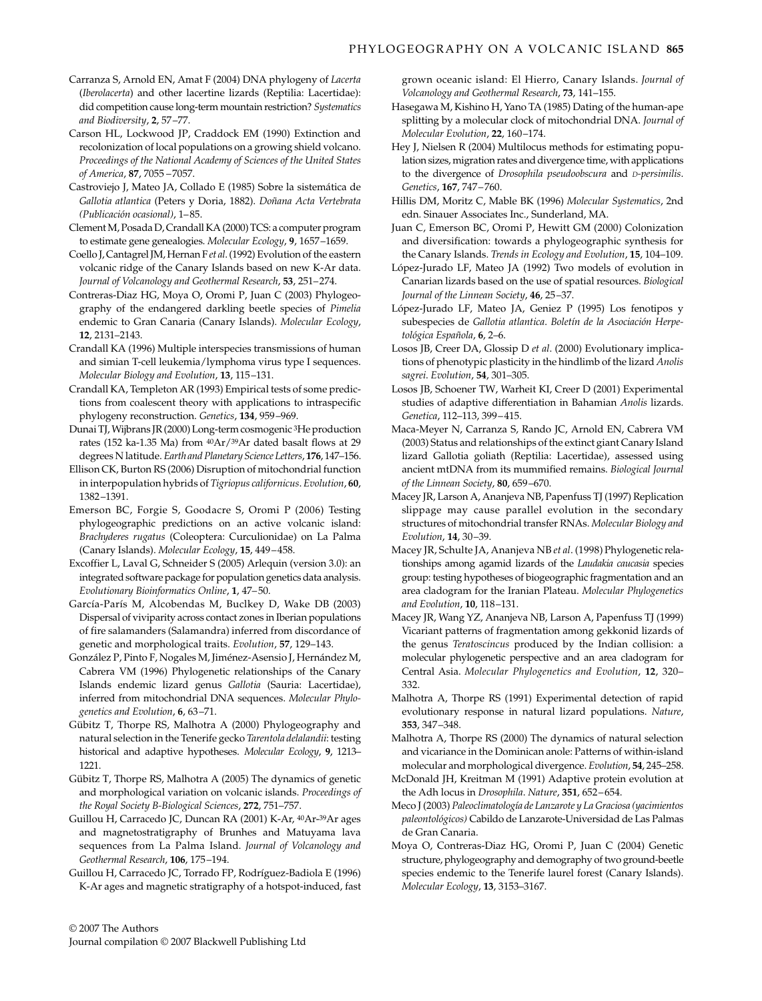- Carranza S, Arnold EN, Amat F (2004) DNA phylogeny of *Lacerta* (*Iberolacerta*) and other lacertine lizards (Reptilia: Lacertidae): did competition cause long-term mountain restriction? *Systematics and Biodiversity*, **2**, 57–77.
- Carson HL, Lockwood JP, Craddock EM (1990) Extinction and recolonization of local populations on a growing shield volcano. *Proceedings of the National Academy of Sciences of the United States of America*, **87**, 7055 –7057.
- Castroviejo J, Mateo JA, Collado E (1985) Sobre la sistemática de *Gallotia atlantica* (Peters y Doria, 1882). *Doñana Acta Vertebrata (Publicación ocasional)*, 1–85.
- Clement M, Posada D, Crandall KA (2000) TCS: a computer program to estimate gene genealogies. *Molecular Ecology*, **9**, 1657–1659.
- Coello J, Cantagrel JM, Hernan F *et al*. (1992) Evolution of the eastern volcanic ridge of the Canary Islands based on new K-Ar data. *Journal of Volcanology and Geothermal Research*, **53**, 251–274.
- Contreras-Diaz HG, Moya O, Oromi P, Juan C (2003) Phylogeography of the endangered darkling beetle species of *Pimelia* endemic to Gran Canaria (Canary Islands). *Molecular Ecology*, **12**, 2131–2143.
- Crandall KA (1996) Multiple interspecies transmissions of human and simian T-cell leukemia/lymphoma virus type I sequences. *Molecular Biology and Evolution*, **13**, 115–131.
- Crandall KA, Templeton AR (1993) Empirical tests of some predictions from coalescent theory with applications to intraspecific phylogeny reconstruction. *Genetics*, **134**, 959–969.
- Dunai TJ, Wijbrans JR (2000) Long-term cosmogenic 3He production rates (152 ka-1.35 Ma) from 40Ar/39Ar dated basalt flows at 29 degrees N latitude. *Earth and Planetary Science Letters*, **176**, 147–156.
- Ellison CK, Burton RS (2006) Disruption of mitochondrial function in interpopulation hybrids of *Tigriopus californicus*. *Evolution*, **60**, 1382–1391.
- Emerson BC, Forgie S, Goodacre S, Oromi P (2006) Testing phylogeographic predictions on an active volcanic island: *Brachyderes rugatus* (Coleoptera: Curculionidae) on La Palma (Canary Islands). *Molecular Ecology*, **15**, 449–458.
- Excoffier L, Laval G, Schneider S (2005) Arlequin (version 3.0): an integrated software package for population genetics data analysis. *Evolutionary Bioinformatics Online*, **1**, 47–50.
- García-París M, Alcobendas M, Buclkey D, Wake DB (2003) Dispersal of viviparity across contact zones in Iberian populations of fire salamanders (Salamandra) inferred from discordance of genetic and morphological traits. *Evolution*, **57**, 129–143.
- González P, Pinto F, Nogales M, Jiménez-Asensio J, Hernández M, Cabrera VM (1996) Phylogenetic relationships of the Canary Islands endemic lizard genus *Gallotia* (Sauria: Lacertidae), inferred from mitochondrial DNA sequences. *Molecular Phylogenetics and Evolution*, **6**, 63–71.
- Gübitz T, Thorpe RS, Malhotra A (2000) Phylogeography and natural selection in the Tenerife gecko *Tarentola delalandii*: testing historical and adaptive hypotheses. *Molecular Ecology*, **9**, 1213– 1221.
- Gübitz T, Thorpe RS, Malhotra A (2005) The dynamics of genetic and morphological variation on volcanic islands. *Proceedings of the Royal Society B-Biological Sciences*, **272**, 751–757.
- Guillou H, Carracedo JC, Duncan RA (2001) K-Ar, 40Ar-39Ar ages and magnetostratigraphy of Brunhes and Matuyama lava sequences from La Palma Island. *Journal of Volcanology and Geothermal Research*, **106**, 175–194.
- Guillou H, Carracedo JC, Torrado FP, Rodríguez-Badiola E (1996) K-Ar ages and magnetic stratigraphy of a hotspot-induced, fast

grown oceanic island: El Hierro, Canary Islands. *Journal of Volcanology and Geothermal Research*, **73**, 141–155.

- Hasegawa M, Kishino H, Yano TA (1985) Dating of the human-ape splitting by a molecular clock of mitochondrial DNA. *Journal of Molecular Evolution*, **22**, 160–174.
- Hey J, Nielsen R (2004) Multilocus methods for estimating population sizes, migration rates and divergence time, with applications to the divergence of *Drosophila pseudoobscura* and *D-persimilis*. *Genetics*, **167**, 747–760.
- Hillis DM, Moritz C, Mable BK (1996) *Molecular Systematics*, 2nd edn. Sinauer Associates Inc., Sunderland, MA.
- Juan C, Emerson BC, Oromi P, Hewitt GM (2000) Colonization and diversification: towards a phylogeographic synthesis for the Canary Islands. *Trends in Ecology and Evolution*, **15**, 104–109.
- López-Jurado LF, Mateo JA (1992) Two models of evolution in Canarian lizards based on the use of spatial resources. *Biological Journal of the Linnean Society*, **46**, 25–37.
- López-Jurado LF, Mateo JA, Geniez P (1995) Los fenotipos y subespecies de *Gallotia atlantica*. *Boletín de la Asociación Herpetológica Española*, **6**, 2–6.
- Losos JB, Creer DA, Glossip D *et al*. (2000) Evolutionary implications of phenotypic plasticity in the hindlimb of the lizard *Anolis sagrei*. *Evolution*, **54**, 301–305.
- Losos JB, Schoener TW, Warheit KI, Creer D (2001) Experimental studies of adaptive differentiation in Bahamian *Anolis* lizards. *Genetica*, 112–113, 399–415.
- Maca-Meyer N, Carranza S, Rando JC, Arnold EN, Cabrera VM (2003) Status and relationships of the extinct giant Canary Island lizard Gallotia goliath (Reptilia: Lacertidae), assessed using ancient mtDNA from its mummified remains. *Biological Journal of the Linnean Society*, **80**, 659–670.
- Macey JR, Larson A, Ananjeva NB, Papenfuss TJ (1997) Replication slippage may cause parallel evolution in the secondary structures of mitochondrial transfer RNAs. *Molecular Biology and Evolution*, **14**, 30–39.
- Macey JR, Schulte JA, Ananjeva NB *et al*. (1998) Phylogenetic relationships among agamid lizards of the *Laudakia caucasia* species group: testing hypotheses of biogeographic fragmentation and an area cladogram for the Iranian Plateau. *Molecular Phylogenetics and Evolution*, **10**, 118–131.
- Macey JR, Wang YZ, Ananjeva NB, Larson A, Papenfuss TJ (1999) Vicariant patterns of fragmentation among gekkonid lizards of the genus *Teratoscincus* produced by the Indian collision: a molecular phylogenetic perspective and an area cladogram for Central Asia. *Molecular Phylogenetics and Evolution*, **12**, 320– 332.
- Malhotra A, Thorpe RS (1991) Experimental detection of rapid evolutionary response in natural lizard populations. *Nature*, **353**, 347–348.
- Malhotra A, Thorpe RS (2000) The dynamics of natural selection and vicariance in the Dominican anole: Patterns of within-island molecular and morphological divergence. *Evolution*, **54**, 245–258.
- McDonald JH, Kreitman M (1991) Adaptive protein evolution at the Adh locus in *Drosophila*. *Nature*, **351**, 652–654.
- Meco J (2003) *Paleoclimatología de Lanzarote y La Graciosa (yacimientos paleontológicos)* Cabildo de Lanzarote-Universidad de Las Palmas de Gran Canaria.
- Moya O, Contreras-Diaz HG, Oromi P, Juan C (2004) Genetic structure, phylogeography and demography of two ground-beetle species endemic to the Tenerife laurel forest (Canary Islands). *Molecular Ecology*, **13**, 3153–3167.